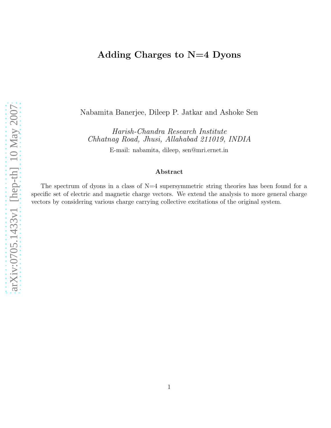# Adding Charges to N=4 Dyons

Nabamita Banerjee, Dileep P. Jatkar and Ashoke Sen

Harish-Chandra Research Institute Chhatnag Road, Jhusi, Allahabad 211019, INDIA

E-mail: nabamita, dileep, sen@mri.ernet.in

#### Abstract

The spectrum of dyons in a class of  $N=4$  supersymmetric string theories has been found for a specific set of electric and magnetic charge vectors. We extend the analysis to more general charge vectors by considering various charge carrying collective excitations of the original system.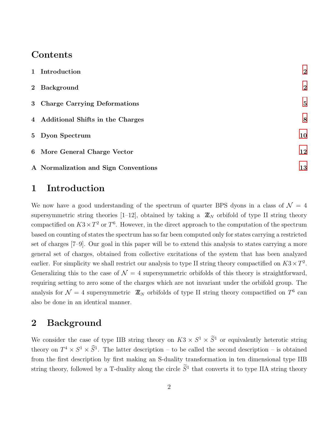# Contents

| 1 Introduction                       | $\overline{2}$   |
|--------------------------------------|------------------|
| 2 Background                         | $\boldsymbol{2}$ |
| 3 Charge Carrying Deformations       | $\bf{5}$         |
| 4 Additional Shifts in the Charges   | 8                |
| 5 Dyon Spectrum                      | 10               |
| 6 More General Charge Vector         | 12               |
| A Normalization and Sign Conventions | 13               |

# <span id="page-1-0"></span>1 Introduction

We now have a good understanding of the spectrum of quarter BPS dyons in a class of  $\mathcal{N} = 4$ supersymmetric string theories [1–12], obtained by taking a  $\mathbb{Z}_N$  orbifold of type II string theory compactified on  $K3 \times T^2$  or  $T^6$ . However, in the direct approach to the computation of the spectrum based on counting of states the spectrum has so far been computed only for states carrying a restricted set of charges [7–9]. Our goal in this paper will be to extend this analysis to states carrying a more general set of charges, obtained from collective excitations of the system that has been analyzed earlier. For simplicity we shall restrict our analysis to type II string theory compactified on  $K3 \times T^2$ . Generalizing this to the case of  $\mathcal{N} = 4$  supersymmetric orbifolds of this theory is straightforward, requiring setting to zero some of the charges which are not invariant under the orbifold group. The analysis for  $\mathcal{N}=4$  supersymmetric  $\mathbb{Z}_N$  orbifolds of type II string theory compactified on  $T^6$  can also be done in an identical manner.

# <span id="page-1-1"></span>2 Background

We consider the case of type IIB string theory on  $K3 \times S^1 \times \overline{S}^1$  or equivalently heterotic string theory on  $T^4 \times S^1 \times S^1$ . The latter description – to be called the second description – is obtained from the first description by first making an S-duality transformation in ten dimensional type IIB string theory, followed by a T-duality along the circle  $S<sup>1</sup>$  that converts it to type IIA string theory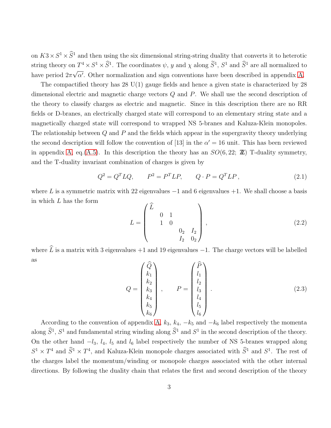on  $K3 \times S^1 \times S^1$  and then using the six dimensional string-string duality that converts it to heterotic string theory on  $T^4 \times S^1 \times S^1$ . The coordinates  $\psi$ , y and  $\chi$  along  $S^1$ ,  $S^1$  and  $S^1$  are all normalized to have period  $2\pi\sqrt{\alpha'}$ . Other normalization and sign conventions have been described in appendix [A.](#page-12-0)

The compactified theory has 28 U(1) gauge fields and hence a given state is characterized by 28 dimensional electric and magnetic charge vectors Q and P. We shall use the second description of the theory to classify charges as electric and magnetic. Since in this description there are no RR fields or D-branes, an electrically charged state will correspond to an elementary string state and a magnetically charged state will correspond to wrapped NS 5-branes and Kaluza-Klein monopoles. The relationship between  $Q$  and  $P$  and the fields which appear in the supergravity theory underlying the second description will follow the convention of [13] in the  $\alpha' = 16$  unit. This has been reviewed in appendix [A,](#page-12-0) eq.[\(A.5\)](#page-14-0). In this description the theory has an  $SO(6, 22; \mathbb{Z})$  T-duality symmetry, and the T-duality invariant combination of charges is given by

$$
Q^2 = Q^T L Q, \qquad P^2 = P^T L P, \qquad Q \cdot P = Q^T L P, \tag{2.1}
$$

where L is a symmetric matrix with 22 eigenvalues  $-1$  and 6 eigenvalues  $+1$ . We shall choose a basis in which L has the form

$$
L = \begin{pmatrix} \widehat{L} & & & \\ & 0 & 1 & & \\ & 1 & 0 & & \\ & & & 0_2 & I_2 \\ & & & I_2 & 0_2 \end{pmatrix},
$$
 (2.2)

where  $\widehat{L}$  is a matrix with 3 eigenvalues +1 and 19 eigenvalues −1. The charge vectors will be labelled as

<span id="page-2-0"></span>
$$
Q = \begin{pmatrix} \widehat{Q} \\ k_1 \\ k_2 \\ k_3 \\ k_4 \\ k_5 \\ k_6 \end{pmatrix}, \qquad P = \begin{pmatrix} \widehat{P} \\ l_1 \\ l_2 \\ l_3 \\ l_4 \\ l_5 \\ l_6 \end{pmatrix} . \tag{2.3}
$$

According to the convention of appendix [A,](#page-12-0)  $k_3$ ,  $k_4$ ,  $-k_5$  and  $-k_6$  label respectively the momenta along  $S^1$ ,  $S^1$  and fundamental string winding along  $S^1$  and  $S^1$  in the second description of the theory. On the other hand  $-l_3$ ,  $l_4$ ,  $l_5$  and  $l_6$  label respectively the number of NS 5-branes wrapped along  $S^1 \times T^4$  and  $\hat{S}^1 \times T^4$ , and Kaluza-Klein monopole charges associated with  $\hat{S}^1$  and  $S^1$ . The rest of the charges label the momentum/winding or monopole charges associated with the other internal directions. By following the duality chain that relates the first and second description of the theory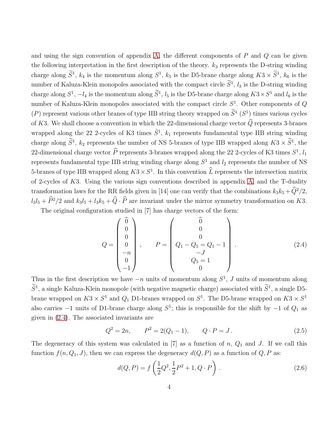and using the sign convention of appendix [A,](#page-12-0) the different components of  $P$  and  $Q$  can be given the following interpretation in the first description of the theory.  $k_3$  represents the D-string winding charge along  $S^1$ ,  $k_4$  is the momentum along  $S^1$ ,  $k_5$  is the D5-brane charge along  $K3 \times S^1$ ,  $k_6$  is the number of Kaluza-Klein monopoles associated with the compact circle  $S<sup>1</sup>$ ,  $l<sub>3</sub>$  is the D-string winding charge along  $S^1$ ,  $-l_4$  is the momentum along  $S^1$ ,  $l_5$  is the D5-brane charge along  $K3 \times S^1$  and  $l_6$  is the number of Kaluza-Klein monopoles associated with the compact circle  $S<sup>1</sup>$ . Other components of Q  $(P)$  represent various other branes of type IIB string theory wrapped on  $S<sup>1</sup>(S<sup>1</sup>)$  times various cycles of K3. We shall choose a convention in which the 22-dimensional charge vector  $\widehat{Q}$  represents 3-branes wrapped along the 22 2-cycles of K3 times  $\tilde{S}^1$ ,  $k_1$  represents fundamental type IIB string winding charge along  $\tilde{S}^1$ ,  $k_2$  represents the number of NS 5-branes of type IIB wrapped along  $K3 \times \tilde{S}^1$ , the 22-dimensional charge vector  $\hat{P}$  represents 3-branes wrapped along the 22 2-cycles of K3 times  $S^1$ ,  $l_1$ represents fundamental type IIB string winding charge along  $S^1$  and  $l_2$  represents the number of NS 5-branes of type IIB wrapped along  $K3 \times S^1$ . In this convention  $\tilde{L}$  represents the intersection matrix of 2-cycles of  $K3$ . Using the various sign conventions described in appendix [A,](#page-12-0) and the T-duality transformation laws for the RR fields given in [14] one can verify that the combinations  $k_3k_5 + \widehat{Q}^2/2$ ,  $l_3l_5 + \hat{P}^2/2$  and  $k_3l_5 + l_3k_5 + \hat{Q} \cdot \hat{P}$  are invariant under the mirror symmetry transformation on K3.

The original configuration studied in [7] has charge vectors of the form:

<span id="page-3-0"></span>
$$
Q = \begin{pmatrix} \widehat{0} \\ 0 \\ 0 \\ 0 \\ -n \\ 0 \\ -1 \end{pmatrix}, \qquad P = \begin{pmatrix} \widehat{0} \\ 0 \\ 0 \\ Q_1 - Q_5 = Q_1 - 1 \\ -J \\ Q_5 = 1 \\ 0 \end{pmatrix}.
$$
 (2.4)

Thus in the first description we have  $-n$  units of momentum along  $S^1$ , J units of momentum along  $S<sup>1</sup>$ , a single Kaluza-Klein monopole (with negative magnetic charge) associated with  $S<sup>1</sup>$ , a single D5brane wrapped on  $K3 \times S^1$  and  $Q_1$  D1-branes wrapped on  $S^1$ . The D5-brane wrapped on  $K3 \times S^1$ also carries  $-1$  units of D1-brane charge along  $S^1$ ; this is responsible for the shift by  $-1$  of  $Q_1$  as given in [\(2.4\)](#page-3-0). The associated invariants are

$$
Q^2 = 2n, \qquad P^2 = 2(Q_1 - 1), \qquad Q \cdot P = J. \tag{2.5}
$$

The degeneracy of this system was calculated in  $[7]$  as a function of n,  $Q_1$  and J. If we call this function  $f(n, Q_1, J)$ , then we can express the degeneracy  $d(Q, P)$  as a function of  $Q, P$  as:

<span id="page-3-1"></span>
$$
d(Q, P) = f\left(\frac{1}{2}Q^2, \frac{1}{2}P^2 + 1, Q \cdot P\right).
$$
 (2.6)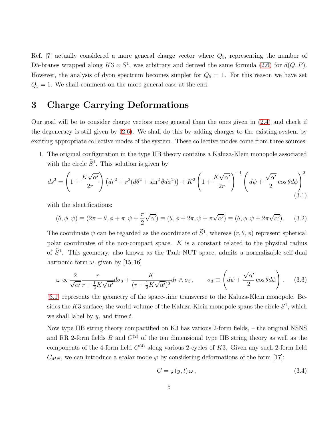Ref. [7] actually considered a more general charge vector where  $Q_5$ , representing the number of D5-branes wrapped along  $K3 \times S^1$ , was arbitrary and derived the same formula [\(2.6\)](#page-3-1) for  $d(Q, P)$ . However, the analysis of dyon spectrum becomes simpler for  $Q_5 = 1$ . For this reason we have set  $Q_5 = 1$ . We shall comment on the more general case at the end.

# <span id="page-4-0"></span>3 Charge Carrying Deformations

Our goal will be to consider charge vectors more general than the ones given in [\(2.4\)](#page-3-0) and check if the degeneracy is still given by [\(2.6\)](#page-3-1). We shall do this by adding charges to the existing system by exciting appropriate collective modes of the system. These collective modes come from three sources:

1. The original configuration in the type IIB theory contains a Kaluza-Klein monopole associated with the circle  $\tilde{S}^1$ . This solution is given by

<span id="page-4-1"></span>
$$
ds^{2} = \left(1 + \frac{K\sqrt{\alpha'}}{2r}\right) \left(dr^{2} + r^{2}(d\theta^{2} + \sin^{2}\theta d\phi^{2})\right) + K^{2}\left(1 + \frac{K\sqrt{\alpha'}}{2r}\right)^{-1} \left(d\psi + \frac{\sqrt{\alpha'}}{2}\cos\theta d\phi\right)^{2}
$$
\n(3.1)

with the identifications:

$$
(\theta, \phi, \psi) \equiv (2\pi - \theta, \phi + \pi, \psi + \frac{\pi}{2}\sqrt{\alpha'}) \equiv (\theta, \phi + 2\pi, \psi + \pi\sqrt{\alpha'}) \equiv (\theta, \phi, \psi + 2\pi\sqrt{\alpha'})
$$
 (3.2)

The coordinate  $\psi$  can be regarded as the coordinate of  $S^1$ , whereas  $(r, \theta, \phi)$  represent spherical polar coordinates of the non-compact space.  $K$  is a constant related to the physical radius of  $S<sup>1</sup>$ . This geometry, also known as the Taub-NUT space, admits a normalizable self-dual harmonic form  $\omega$ , given by [15, 16]

<span id="page-4-2"></span>
$$
\omega \propto \frac{2}{\sqrt{\alpha'}} \frac{r}{r + \frac{1}{2} K \sqrt{\alpha'}} d\sigma_3 + \frac{K}{(r + \frac{1}{2} K \sqrt{\alpha'})^2} dr \wedge \sigma_3, \qquad \sigma_3 \equiv \left( d\psi + \frac{\sqrt{\alpha'}}{2} \cos \theta d\phi \right). \tag{3.3}
$$

[\(3.1\)](#page-4-1) represents the geometry of the space-time transverse to the Kaluza-Klein monopole. Besides the K3 surface, the world-volume of the Kaluza-Klein monopole spans the circle  $S^1$ , which we shall label by  $y$ , and time  $t$ .

Now type IIB string theory compactified on K3 has various 2-form fields, – the original NSNS and RR 2-form fields B and  $C^{(2)}$  of the ten dimensional type IIB string theory as well as the components of the 4-form field  $C^{(4)}$  along various 2-cycles of K3. Given any such 2-form field  $C_{MN}$ , we can introduce a scalar mode  $\varphi$  by considering deformations of the form [17]:

$$
C = \varphi(y, t) \,\omega \,,\tag{3.4}
$$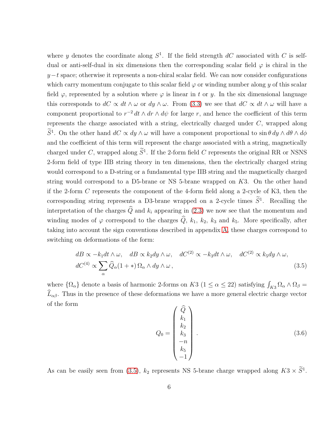where y denotes the coordinate along  $S^1$ . If the field strength  $dC$  associated with C is selfdual or anti-self-dual in six dimensions then the corresponding scalar field  $\varphi$  is chiral in the  $y-t$  space; otherwise it represents a non-chiral scalar field. We can now consider configurations which carry momentum conjugate to this scalar field  $\varphi$  or winding number along y of this scalar field  $\varphi$ , represented by a solution where  $\varphi$  is linear in t or y. In the six dimensional language this corresponds to  $dC \propto dt \wedge \omega$  or  $dy \wedge \omega$ . From [\(3.3\)](#page-4-2) we see that  $dC \propto dt \wedge \omega$  will have a component proportional to  $r^{-2} dt \wedge dr \wedge d\psi$  for large r, and hence the coefficient of this term represents the charge associated with a string, electrically charged under C, wrapped along  $S<sup>1</sup>$ . On the other hand  $dC \propto dy \wedge \omega$  will have a component proportional to  $\sin \theta dy \wedge d\theta \wedge d\phi$ and the coefficient of this term will represent the charge associated with a string, magnetically charged under C, wrapped along  $S<sup>1</sup>$ . If the 2-form field C represents the original RR or NSNS 2-form field of type IIB string theory in ten dimensions, then the electrically charged string would correspond to a D-string or a fundamental type IIB string and the magnetically charged string would correspond to a D5-brane or NS 5-brane wrapped on K3. On the other hand if the 2-form C represents the component of the 4-form field along a 2-cycle of K3, then the corresponding string represents a D3-brane wrapped on a 2-cycle times  $S<sup>1</sup>$ . Recalling the interpretation of the charges  $\widehat{Q}$  and  $k_i$  appearing in [\(2.3\)](#page-2-0) we now see that the momentum and winding modes of  $\varphi$  correspond to the charges  $\widehat{Q}$ ,  $k_1$ ,  $k_2$ ,  $k_3$  and  $k_5$ . More specifically, after taking into account the sign conventions described in appendix [A,](#page-12-0) these charges correspond to switching on deformations of the form:

<span id="page-5-0"></span>
$$
dB \propto -k_1 dt \wedge \omega, \quad dB \propto k_2 dy \wedge \omega, \quad dC^{(2)} \propto -k_3 dt \wedge \omega, \quad dC^{(2)} \propto k_5 dy \wedge \omega,
$$
  

$$
dC^{(4)} \propto \sum_{\alpha} \widehat{Q}_{\alpha} (1 + *) \Omega_{\alpha} \wedge dy \wedge \omega,
$$
 (3.5)

where  $\{\Omega_{\alpha}\}\$  denote a basis of harmonic 2-forms on K3 ( $1 \leq \alpha \leq 22$ ) satisfying  $\int_{K3} \Omega_{\alpha} \wedge \Omega_{\beta} =$  $\widehat{L}_{\alpha\beta}$ . Thus in the presence of these deformations we have a more general electric charge vector of the form

$$
Q_0 = \begin{pmatrix} \widehat{Q} \\ k_1 \\ k_2 \\ k_3 \\ -n \\ k_5 \\ -1 \end{pmatrix} . \tag{3.6}
$$

As can be easily seen from [\(3.5\)](#page-5-0),  $k_2$  represents NS 5-brane charge wrapped along  $K3 \times S^1$ .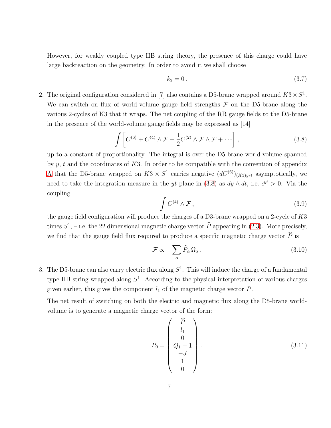However, for weakly coupled type IIB string theory, the presence of this charge could have large backreaction on the geometry. In order to avoid it we shall choose

$$
k_2 = 0. \t\t(3.7)
$$

2. The original configuration considered in [7] also contains a D5-brane wrapped around  $K3 \times S<sup>1</sup>$ . We can switch on flux of world-volume gauge field strengths  $\mathcal F$  on the D5-brane along the various 2-cycles of K3 that it wraps. The net coupling of the RR gauge fields to the D5-brane in the presence of the world-volume gauge fields may be expressed as [14]

<span id="page-6-0"></span>
$$
\int \left[ C^{(6)} + C^{(4)} \wedge \mathcal{F} + \frac{1}{2} C^{(2)} \wedge \mathcal{F} \wedge \mathcal{F} + \cdots \right],
$$
\n(3.8)

up to a constant of proportionality. The integral is over the D5-brane world-volume spanned by  $y, t$  and the coordinates of K3. In order to be compatible with the convention of appendix [A](#page-12-0) that the D5-brane wrapped on  $K3 \times S^1$  carries negative  $(dC^{(6)})_{(K3)yrt}$  asymptotically, we need to take the integration measure in the *yt* plane in [\(3.8\)](#page-6-0) as  $dy \wedge dt$ , i.e.  $e^{yt} > 0$ . Via the coupling

$$
\int C^{(4)} \wedge \mathcal{F},\tag{3.9}
$$

the gauge field configuration will produce the charges of a D3-brane wrapped on a 2-cycle of K3 times  $S^1$ , – 1.e. the 22 dimensional magnetic charge vector  $\tilde{P}$  appearing in [\(2.3\)](#page-2-0). More precisely, we find that the gauge field flux required to produce a specific magnetic charge vector  $\hat{P}$  is

<span id="page-6-1"></span>
$$
\mathcal{F} \propto -\sum_{\alpha} \widehat{P}_{\alpha} \Omega_{\alpha} \,. \tag{3.10}
$$

3. The D5-brane can also carry electric flux along  $S<sup>1</sup>$ . This will induce the charge of a fundamental type IIB string wrapped along  $S<sup>1</sup>$ . According to the physical interpretation of various charges given earlier, this gives the component  $l_1$  of the magnetic charge vector  $P$ .

The net result of switching on both the electric and magnetic flux along the D5-brane worldvolume is to generate a magnetic charge vector of the form:

<span id="page-6-2"></span>
$$
P_0 = \begin{pmatrix} \widehat{P} \\ l_1 \\ 0 \\ Q_1 - 1 \\ -J \\ 1 \\ 0 \end{pmatrix} . \tag{3.11}
$$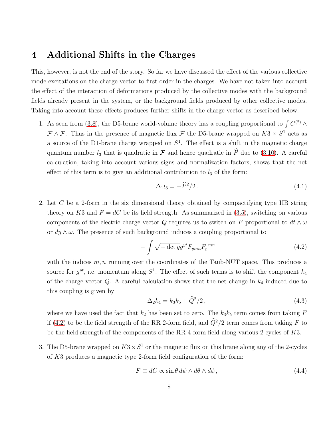#### <span id="page-7-0"></span>4 Additional Shifts in the Charges

This, however, is not the end of the story. So far we have discussed the effect of the various collective mode excitations on the charge vector to first order in the charges. We have not taken into account the effect of the interaction of deformations produced by the collective modes with the background fields already present in the system, or the background fields produced by other collective modes. Taking into account these effects produces further shifts in the charge vector as described below.

1. As seen from [\(3.8\)](#page-6-0), the D5-brane world-volume theory has a coupling proportional to  $\int C^{(2)} \wedge$  $\mathcal{F} \wedge \mathcal{F}$ . Thus in the presence of magnetic flux  $\mathcal{F}$  the D5-brane wrapped on  $K3 \times S^1$  acts as a source of the D1-brane charge wrapped on  $S<sup>1</sup>$ . The effect is a shift in the magnetic charge quantum number  $l_3$  that is quadratic in  $\mathcal F$  and hence quadratic in  $\widehat P$  due to [\(3.10\)](#page-6-1). A careful calculation, taking into account various signs and normalization factors, shows that the net effect of this term is to give an additional contribution to  $l_3$  of the form:

<span id="page-7-3"></span>
$$
\Delta_1 l_3 = -\widehat{P}^2/2. \tag{4.1}
$$

2. Let C be a 2-form in the six dimensional theory obtained by compactifying type IIB string theory on K3 and  $F = dC$  be its field strength. As summarized in [\(3.5\)](#page-5-0), switching on various components of the electric charge vector Q requires us to switch on F proportional to  $dt \wedge \omega$ or  $dy \wedge \omega$ . The presence of such background induces a coupling proportional to

<span id="page-7-1"></span>
$$
-\int \sqrt{-\det g} g^{yt} F_{ymn} F_t^{mn} \tag{4.2}
$$

with the indices  $m, n$  running over the coordinates of the Taub-NUT space. This produces a source for  $g^{yt}$ , i.e. momentum along  $S^1$ . The effect of such terms is to shift the component  $k_4$ of the charge vector  $Q$ . A careful calculation shows that the net change in  $k_4$  induced due to this coupling is given by

$$
\Delta_2 k_4 = k_3 k_5 + \hat{Q}^2 / 2 \,, \tag{4.3}
$$

where we have used the fact that  $k_2$  has been set to zero. The  $k_3k_5$  term comes from taking F if [\(4.2\)](#page-7-1) to be the field strength of the RR 2-form field, and  $\hat{Q}^2/2$  term comes from taking F to be the field strength of the components of the RR 4-form field along various 2-cycles of K3.

3. The D5-brane wrapped on  $K3 \times S^1$  or the magnetic flux on this brane along any of the 2-cycles of K3 produces a magnetic type 2-form field configuration of the form:

<span id="page-7-2"></span>
$$
F \equiv dC \propto \sin \theta \, d\psi \wedge d\theta \wedge d\phi \,,\tag{4.4}
$$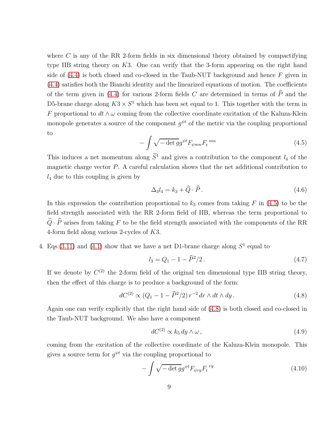where  $C$  is any of the RR 2-form fields in six dimensional theory obtained by compactifying type IIB string theory on K3. One can verify that the 3-form appearing on the right hand side of  $(4.4)$  is both closed and co-closed in the Taub-NUT background and hence F given in [\(4.4\)](#page-7-2) satisfies both the Bianchi identity and the linearized equations of motion. The coefficients of the term given in [\(4.4\)](#page-7-2) for various 2-form fields C are determined in terms of  $\widehat{P}$  and the D5-brane charge along  $K3 \times S^1$  which has been set equal to 1. This together with the term in F proportional to  $dt \wedge \omega$  coming from the collective coordinate excitation of the Kaluza-Klein monopole generates a source of the component  $g^{\psi t}$  of the metric via the coupling proportional to

<span id="page-8-0"></span>
$$
-\int \sqrt{-\det g} g^{\psi t} F_{\psi mn} F_t^{mn} \tag{4.5}
$$

This induces a net momentum along  $\widetilde{S}^1$  and gives a contribution to the component  $l_4$  of the magnetic charge vector  $P$ . A careful calculation shows that the net additional contribution to  $l_4$  due to this coupling is given by

$$
\Delta_3 l_4 = k_3 + \widehat{Q} \cdot \widehat{P} \,. \tag{4.6}
$$

In this expression the contribution proportional to  $k_3$  comes from taking F in [\(4.5\)](#page-8-0) to be the field strength associated with the RR 2-form field of IIB, whereas the term proportional to  $\widehat{Q}\cdot\widehat{P}$  arises from taking  $F$  to be the field strength associated with the components of the RR 4-form field along various 2-cycles of K3.

4. Eqs.[\(3.11\)](#page-6-2) and [\(4.1\)](#page-7-3) show that we have a net D1-brane charge along  $S<sup>1</sup>$  equal to

$$
l_3 = Q_1 - 1 - \hat{P}^2 / 2. \tag{4.7}
$$

If we denote by  $C^{(2)}$  the 2-form field of the original ten dimensional type IIB string theory, then the effect of this charge is to produce a background of the form:

<span id="page-8-1"></span>
$$
dC^{(2)} \propto (Q_1 - 1 - \hat{P}^2/2) r^{-2} dr \wedge dt \wedge dy. \tag{4.8}
$$

Again one can verify explicitly that the right hand side of [\(4.8\)](#page-8-1) is both closed and co-closed in the Taub-NUT background. We also have a component

$$
dC^{(2)} \propto k_5 \, dy \wedge \omega \,,\tag{4.9}
$$

coming from the excitation of the collective coordinate of the Kaluza-Klein monopole. This gives a source term for  $g^{\psi t}$  via the coupling proportional to

$$
-\int \sqrt{-\det g} g^{\psi t} F_{\psi r y} F_t^{\ r y} \tag{4.10}
$$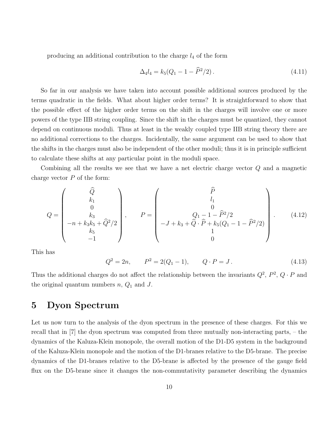producing an additional contribution to the charge  $l_4$  of the form

$$
\Delta_4 l_4 = k_5 (Q_1 - 1 - \widehat{P}^2 / 2). \tag{4.11}
$$

So far in our analysis we have taken into account possible additional sources produced by the terms quadratic in the fields. What about higher order terms? It is straightforward to show that the possible effect of the higher order terms on the shift in the charges will involve one or more powers of the type IIB string coupling. Since the shift in the charges must be quantized, they cannot depend on continuous moduli. Thus at least in the weakly coupled type IIB string theory there are no additional corrections to the charges. Incidentally, the same argument can be used to show that the shifts in the charges must also be independent of the other moduli; thus it is in principle sufficient to calculate these shifts at any particular point in the moduli space.

Combining all the results we see that we have a net electric charge vector Q and a magnetic charge vector  $P$  of the form:

<span id="page-9-2"></span>
$$
Q = \begin{pmatrix} \widehat{Q} \\ k_1 \\ 0 \\ -n + k_3 k_5 + \widehat{Q}^2 / 2 \\ k_5 \\ -1 \end{pmatrix}, \qquad P = \begin{pmatrix} \widehat{P} \\ l_1 \\ 0 \\ -J + k_3 + \widehat{Q} \cdot \widehat{P} + k_5 (Q_1 - 1 - \widehat{P}^2 / 2) \\ 1 \\ 0 \end{pmatrix} . \tag{4.12}
$$

This has

<span id="page-9-1"></span>
$$
Q^2 = 2n, \qquad P^2 = 2(Q_1 - 1), \qquad Q \cdot P = J. \tag{4.13}
$$

Thus the additional charges do not affect the relationship between the invariants  $Q^2$ ,  $P^2$ ,  $Q \cdot P$  and the original quantum numbers  $n, Q_1$  and J.

### <span id="page-9-0"></span>5 Dyon Spectrum

Let us now turn to the analysis of the dyon spectrum in the presence of these charges. For this we recall that in [7] the dyon spectrum was computed from three mutually non-interacting parts, – the dynamics of the Kaluza-Klein monopole, the overall motion of the D1-D5 system in the background of the Kaluza-Klein monopole and the motion of the D1-branes relative to the D5-brane. The precise dynamics of the D1-branes relative to the D5-brane is affected by the presence of the gauge field flux on the D5-brane since it changes the non-commutativity parameter describing the dynamics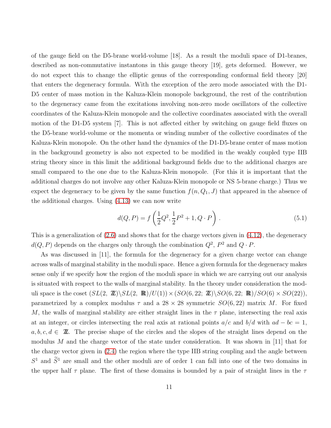of the gauge field on the D5-brane world-volume [18]. As a result the moduli space of D1-branes, described as non-commutative instantons in this gauge theory [19], gets deformed. However, we do not expect this to change the elliptic genus of the corresponding conformal field theory [20] that enters the degeneracy formula. With the exception of the zero mode associated with the D1- D5 center of mass motion in the Kaluza-Klein monopole background, the rest of the contribution to the degeneracy came from the excitations involving non-zero mode oscillators of the collective coordinates of the Kaluza-Klein monopole and the collective coordinates associated with the overall motion of the D1-D5 system [7]. This is not affected either by switching on gauge field fluxes on the D5-brane world-volume or the momenta or winding number of the collective coordinates of the Kaluza-Klein monopole. On the other hand the dynamics of the D1-D5-brane center of mass motion in the background geometry is also not expected to be modified in the weakly coupled type IIB string theory since in this limit the additional background fields due to the additional charges are small compared to the one due to the Kaluza-Klein monopole. (For this it is important that the additional charges do not involve any other Kaluza-Klein monopole or NS 5-brane charge.) Thus we expect the degeneracy to be given by the same function  $f(n, Q_1, J)$  that appeared in the absence of the additional charges. Using [\(4.13\)](#page-9-1) we can now write

<span id="page-10-0"></span>
$$
d(Q, P) = f\left(\frac{1}{2}Q^2, \frac{1}{2}P^2 + 1, Q \cdot P\right).
$$
 (5.1)

This is a generalization of  $(2.6)$  and shows that for the charge vectors given in  $(4.12)$ , the degeneracy  $d(Q, P)$  depends on the charges only through the combination  $Q^2$ ,  $P^2$  and  $Q \cdot P$ .

As was discussed in [11], the formula for the degeneracy for a given charge vector can change across walls of marginal stability in the moduli space. Hence a given formula for the degeneracy makes sense only if we specify how the region of the moduli space in which we are carrying out our analysis is situated with respect to the walls of marginal stability. In the theory under consideration the moduli space is the coset  $(SL(2, \mathbb{Z})\backslash SL(2, \mathbb{R})/U(1))\times (SO(6, 22; \mathbb{Z})\backslash SO(6, 22; \mathbb{R})/SO(6)\times SO(22)),$ parametrized by a complex modulus  $\tau$  and a 28 × 28 symmetric  $SO(6, 22)$  matrix M. For fixed M, the walls of marginal stability are either straight lines in the  $\tau$  plane, intersecting the real axis at an integer, or circles intersecting the real axis at rational points  $a/c$  and  $b/d$  with  $ad - bc = 1$ ,  $a, b, c, d \in \mathbb{Z}$ . The precise shape of the circles and the slopes of the straight lines depend on the modulus  $M$  and the charge vector of the state under consideration. It was shown in [11] that for the charge vector given in [\(2.4\)](#page-3-0) the region where the type IIB string coupling and the angle between  $S<sup>1</sup>$  and  $S<sup>1</sup>$  are small and the other moduli are of order 1 can fall into one of the two domains in the upper half  $\tau$  plane. The first of these domains is bounded by a pair of straight lines in the  $\tau$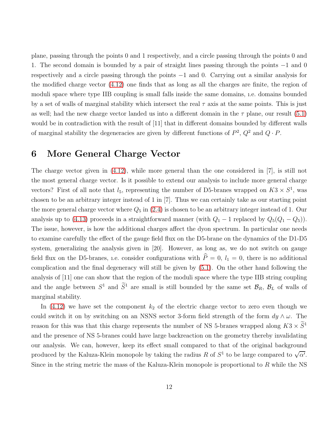plane, passing through the points 0 and 1 respectively, and a circle passing through the points 0 and 1. The second domain is bounded by a pair of straight lines passing through the points −1 and 0 respectively and a circle passing through the points −1 and 0. Carrying out a similar analysis for the modified charge vector [\(4.12\)](#page-9-2) one finds that as long as all the charges are finite, the region of moduli space where type IIB coupling is small falls inside the same domains, ı.e. domains bounded by a set of walls of marginal stability which intersect the real  $\tau$  axis at the same points. This is just as well; had the new charge vector landed us into a different domain in the  $\tau$  plane, our result [\(5.1\)](#page-10-0) would be in contradiction with the result of [11] that in different domains bounded by different walls of marginal stability the degeneracies are given by different functions of  $P^2$ ,  $Q^2$  and  $Q \cdot P$ .

### <span id="page-11-0"></span>6 More General Charge Vector

The charge vector given in [\(4.12\)](#page-9-2), while more general than the one considered in [7], is still not the most general charge vector. Is it possible to extend our analysis to include more general charge vectors? First of all note that  $l_5$ , representing the number of D5-branes wrapped on  $K3 \times S^1$ , was chosen to be an arbitrary integer instead of 1 in [7]. Thus we can certainly take as our starting point the more general charge vector where  $Q_5$  in [\(2.4\)](#page-3-0) is chosen to be an arbitrary integer instead of 1. Our analysis up to [\(4.13\)](#page-9-1) proceeds in a straightforward manner (with  $Q_1 - 1$  replaced by  $Q_5(Q_1 - Q_5)$ ). The issue, however, is how the additional charges affect the dyon spectrum. In particular one needs to examine carefully the effect of the gauge field flux on the D5-brane on the dynamics of the D1-D5 system, generalizing the analysis given in [20]. However, as long as, we do not switch on gauge field flux on the D5-branes, i.e. consider configurations with  $\hat{P}=0$ ,  $l_1 = 0$ , there is no additional complication and the final degeneracy will still be given by [\(5.1\)](#page-10-0). On the other hand following the analysis of [11] one can show that the region of the moduli space where the type IIB string coupling and the angle between  $S^1$  and  $S^1$  are small is still bounded by the same set  $\mathcal{B}_R$ ,  $\mathcal{B}_L$  of walls of marginal stability.

In  $(4.12)$  we have set the component  $k_2$  of the electric charge vector to zero even though we could switch it on by switching on an NSNS sector 3-form field strength of the form  $dy \wedge \omega$ . The reason for this was that this charge represents the number of NS 5-branes wrapped along  $K3 \times S^1$ and the presence of NS 5-branes could have large backreaction on the geometry thereby invalidating our analysis. We can, however, keep its effect small compared to that of the original background produced by the Kaluza-Klein monopole by taking the radius R of  $S^1$  to be large compared to  $\sqrt{\alpha'}$ . Since in the string metric the mass of the Kaluza-Klein monopole is proportional to R while the NS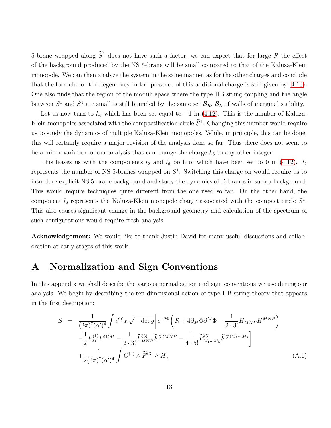5-brane wrapped along  $\tilde{S}^1$  does not have such a factor, we can expect that for large R the effect of the background produced by the NS 5-brane will be small compared to that of the Kaluza-Klein monopole. We can then analyze the system in the same manner as for the other charges and conclude that the formula for the degeneracy in the presence of this additional charge is still given by [\(4.13\)](#page-9-1). One also finds that the region of the moduli space where the type IIB string coupling and the angle between  $S^1$  and  $S^1$  are small is still bounded by the same set  $\mathcal{B}_R$ ,  $\mathcal{B}_L$  of walls of marginal stability.

Let us now turn to  $k_6$  which has been set equal to  $-1$  in [\(4.12\)](#page-9-2). This is the number of Kaluza-Klein monopoles associated with the compactification circle  $S<sup>1</sup>$ . Changing this number would require us to study the dynamics of multiple Kaluza-Klein monopoles. While, in principle, this can be done, this will certainly require a major revision of the analysis done so far. Thus there does not seem to be a minor variation of our analysis that can change the charge  $k_6$  to any other integer.

This leaves us with the components  $l_2$  and  $l_6$  both of which have been set to 0 in [\(4.12\)](#page-9-2).  $l_2$ represents the number of NS 5-branes wrapped on  $S<sup>1</sup>$ . Switching this charge on would require us to introduce explicit NS 5-brane background and study the dynamics of D-branes in such a background. This would require techniques quite different from the one used so far. On the other hand, the component  $l_6$  represents the Kaluza-Klein monopole charge associated with the compact circle  $S^1$ . This also causes significant change in the background geometry and calculation of the spectrum of such configurations would require fresh analysis.

Acknowledgement: We would like to thank Justin David for many useful discussions and collaboration at early stages of this work.

### <span id="page-12-0"></span>A Normalization and Sign Conventions

In this appendix we shall describe the various normalization and sign conventions we use during our analysis. We begin by describing the ten dimensional action of type IIB string theory that appears in the first description:

<span id="page-12-1"></span>
$$
S = \frac{1}{(2\pi)^7 (\alpha')^4} \int d^{10}x \sqrt{-\det g} \Big[ e^{-2\Phi} \Big( R + 4 \partial_M \Phi \partial^M \Phi - \frac{1}{2 \cdot 3!} H_{MNP} H^{MNP} \Big) - \frac{1}{2} F_M^{(1)} F^{(1)M} - \frac{1}{2 \cdot 3!} \widetilde{F}_{MNP}^{(3)} \widetilde{F}^{(3)MNP} - \frac{1}{4 \cdot 5!} \widetilde{F}_{M_1 \cdots M_5}^{(5)} \widetilde{F}^{(5)M_1 \cdots M_5} \Big] + \frac{1}{2(2\pi)^7 (\alpha')^4} \int C^{(4)} \wedge \widetilde{F}^{(3)} \wedge H ,
$$
 (A.1)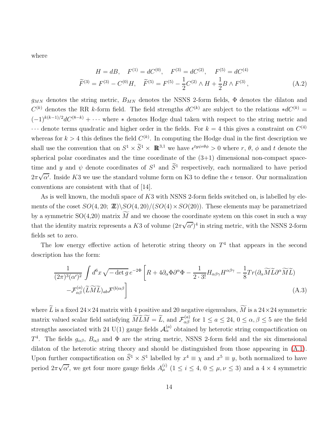where

$$
H = dB, \quad F^{(1)} = dC^{(0)}, \quad F^{(3)} = dC^{(2)}, \quad F^{(5)} = dC^{(4)}
$$
  

$$
\widetilde{F}^{(3)} = F^{(3)} - C^{(0)}H, \quad \widetilde{F}^{(5)} = F^{(5)} - \frac{1}{2}C^{(2)} \wedge H + \frac{1}{2}B \wedge F^{(3)}, \tag{A.2}
$$

 $g_{MN}$  denotes the string metric,  $B_{MN}$  denotes the NSNS 2-form fields,  $\Phi$  denotes the dilaton and  $C^{(k)}$  denotes the RR k-form field. The field strengths  $dC^{(k)}$  are subject to the relations \* $dC^{(k)}$  =  $(-1)^{k(k-1)/2}dC^{(8-k)} + \cdots$  where \* denotes Hodge dual taken with respect to the string metric and  $\cdots$  denote terms quadratic and higher order in the fields. For  $k = 4$  this gives a constraint on  $C^{(4)}$ whereas for  $k > 4$  this defines the field  $C^{(k)}$ . In computing the Hodge dual in the first description we shall use the convention that on  $S^1 \times \tilde{S}^1 \times \mathbb{R}^{3,1}$  we have  $\epsilon^{typ \theta \phi} > 0$  where  $r, \theta, \phi$  and t denote the spherical polar coordinates and the time coordinate of the  $(3+1)$  dimensional non-compact spacetime and y and  $\psi$  denote coordinates of  $S^1$  and  $S^1$  respectively, each normalized to have period  $2\pi\sqrt{\alpha'}$ . Inside K3 we use the standard volume form on K3 to define the  $\epsilon$  tensor. Our normalization conventions are consistent with that of [14].

As is well known, the moduli space of K3 with NSNS 2-form fields switched on, is labelled by elements of the coset  $SO(4, 20; \mathbb{Z})\setminus SO(4, 20)/(SO(4) \times SO(20))$ . These elements may be parametrized by a symmetric  $SO(4,20)$  matrix  $\widetilde{M}$  and we choose the coordinate system on this coset in such a way that the identity matrix represents a K3 of volume  $(2\pi\sqrt{\alpha'})^4$  in string metric, with the NSNS 2-form fields set to zero.

The low energy effective action of heterotic string theory on  $T<sup>4</sup>$  that appears in the second description has the form:

$$
\frac{1}{(2\pi)^3(\alpha')^2} \int d^6x \sqrt{-\det g} \, e^{-2\Phi} \left[ R + 4\partial_\alpha \Phi \partial^\alpha \Phi - \frac{1}{2 \cdot 3!} H_{\alpha\beta\gamma} H^{\alpha\beta\gamma} - \frac{1}{8} Tr(\partial_\alpha \widetilde{M} \widetilde{L} \partial^\alpha \widetilde{M} \widetilde{L}) - \mathcal{F}^{(a)}_{\alpha\beta} (\widetilde{L} \widetilde{M} \widetilde{L})_{ab} \mathcal{F}^{(b)\alpha\beta} \right]
$$
\n(A.3)

where  $\widetilde{L}$  is a fixed  $24\times 24$  matrix with 4 positive and 20 negative eigenvalues,  $\widetilde{M}$  is a  $24\times 24$  symmetric matrix valued scalar field satisfying  $\widetilde{M}\widetilde{L}\widetilde{M} = \widetilde{L}$ , and  $\mathcal{F}_{\alpha\beta}^{(a)}$  for  $1 \le a \le 24$ ,  $0 \le \alpha, \beta \le 5$  are the field strengths associated with 24 U(1) gauge fields  $\mathcal{A}_{\alpha}^{(a)}$  obtained by heterotic string compactification on T<sup>4</sup>. The fields  $g_{\alpha\beta}$ ,  $B_{\alpha\beta}$  and  $\Phi$  are the string metric, NSNS 2-form field and the six dimensional dilaton of the heterotic string theory and should be distinguished from those appearing in [\(A.1\)](#page-12-1). Upon further compactification on  $S^1 \times S^1$  labelled by  $x^4 \equiv \chi$  and  $x^5 \equiv y$ , both normalized to have period  $2\pi\sqrt{\alpha'}$ , we get four more gauge fields  $A_{\mu}^{(i)}$   $(1 \le i \le 4, 0 \le \mu, \nu \le 3)$  and a  $4 \times 4$  symmetric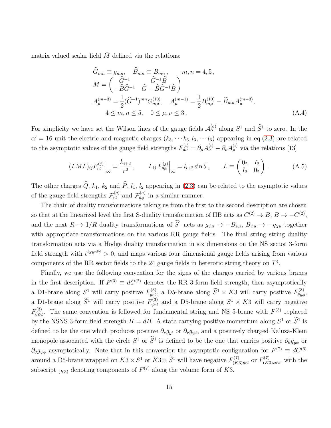matrix valued scalar field  $\overline{M}$  defined via the relations:

$$
\widehat{G}_{mn} \equiv g_{mn}, \quad \widehat{B}_{mn} \equiv B_{mn}, \qquad m, n = 4, 5,
$$
\n
$$
\bar{M} = \begin{pmatrix} \widehat{G}^{-1} & \widehat{G}^{-1}\widehat{B} \\ -\widehat{B}\widehat{G}^{-1} & \widehat{G} - \widehat{B}\widehat{G}^{-1}\widehat{B} \end{pmatrix}
$$
\n
$$
A_{\mu}^{(m-3)} = \frac{1}{2}(\widehat{G}^{-1})^{mn}G_{m\mu}^{(10)}, \quad A_{\mu}^{(m-1)} = \frac{1}{2}B_{m\mu}^{(10)} - \widehat{B}_{mn}A_{\mu}^{(m-3)},
$$
\n
$$
4 \leq m, n \leq 5, \quad 0 \leq \mu, \nu \leq 3.
$$
\n(A.4)

For simplicity we have set the Wilson lines of the gauge fields  $\mathcal{A}_{\alpha}^{(a)}$  along  $S^1$  and  $\widehat{S}^1$  to zero. In the  $\alpha' = 16$  unit the electric and magnetic charges  $(k_3, \cdots k_6, l_3, \cdots l_6)$  appearing in eq.[\(2.3\)](#page-2-0) are related to the asymptotic values of the gauge field strengths  $F_{\mu\nu}^{(i)} = \partial_{\mu}A_{\nu}^{(i)} - \partial_{\nu}A_{\mu}^{(i)}$  via the relations [13]

<span id="page-14-0"></span>
$$
(\bar{L}\bar{M}\bar{L})_{ij}F_{rt}^{(j)}\Big|_{\infty} = \frac{k_{i+2}}{r^2}, \qquad \bar{L}_{ij}F_{\theta\phi}^{(j)}\Big|_{\infty} = l_{i+2}\sin\theta, \qquad \bar{L} \equiv \begin{pmatrix} 0_2 & I_2 \\ I_2 & 0_2 \end{pmatrix}.
$$
 (A.5)

The other charges  $\widehat{Q}$ ,  $k_1$ ,  $k_2$  and  $\widehat{P}$ ,  $l_1$ ,  $l_2$  appearing in [\(2.3\)](#page-2-0) can be related to the asymptotic values of the gauge field strengths  $\mathcal{F}_{rt}^{(a)}$  and  $\mathcal{F}_{\theta\phi}^{(a)}$  in a similar manner.

The chain of duality transformations taking us from the first to the second description are chosen so that at the linearized level the first S-duality transformation of IIB acts as  $C^{(2)} \to B$ ,  $B \to -C^{(2)}$ , and the next  $R \to 1/R$  duality transformations of  $\tilde{S}$ <sup>1</sup> acts as  $g_{\psi\mu} \to -B_{\chi\mu}$ ,  $B_{\psi\mu} \to -g_{\chi\mu}$  together with appropriate transformations on the various RR gauge fields. The final string string duality transformation acts via a Hodge duality transformation in six dimensions on the NS sector 3-form field strength with  $\epsilon^{t\chi yr\theta\phi} > 0$ , and maps various four dimensional gauge fields arising from various components of the RR sector fields to the 24 gauge fields in heterotic string theory on  $T<sup>4</sup>$ .

Finally, we use the following convention for the signs of the charges carried by various branes in the first description. If  $F^{(3)} \equiv dC^{(2)}$  denotes the RR 3-form field strength, then asymptotically a D1-brane along  $S^1$  will carry positive  $F_{yrt}^{(3)}$ , a D5-brane along  $\widetilde{S}^1 \times K3$  will carry positive  $F_{\theta y\phi}^{(3)}$ , a D1-brane along  $\tilde{S}^1$  will carry positive  $F_{\psi r t}^{(3)}$  and a D5-brane along  $S^1 \times K3$  will carry negative  $F_{\theta\psi\phi}^{(3)}$ . The same convention is followed for fundamental string and NS 5-brane with  $F^{(3)}$  replaced by the NSNS 3-form field strength  $H = dB$ . A state carrying positive momentum along  $S^1$  or  $S^1$  is defined to be the one which produces positive  $\partial_r g_{yt}$  or  $\partial_r g_{\psi t}$ , and a positively charged Kaluza-Klein monopole associated with the circle  $S^1$  or  $S^1$  is defined to be the one that carries positive  $\partial_{\theta}g_{y\phi}$  or  $\partial_{\theta}g_{\psi\phi}$  asymptotically. Note that in this convention the asymptotic configuration for  $F^{(7)} \equiv dC^{(6)}$ around a D5-brane wrapped on  $K3 \times S^1$  or  $K3 \times \tilde{S}^1$  will have negative  $F^{(7)}_{(K3)yrt}$  or  $F^{(7)}_{(K3)\psi rt}$ , with the subscript  $(K3)$  denoting components of  $F^{(7)}$  along the volume form of K3.